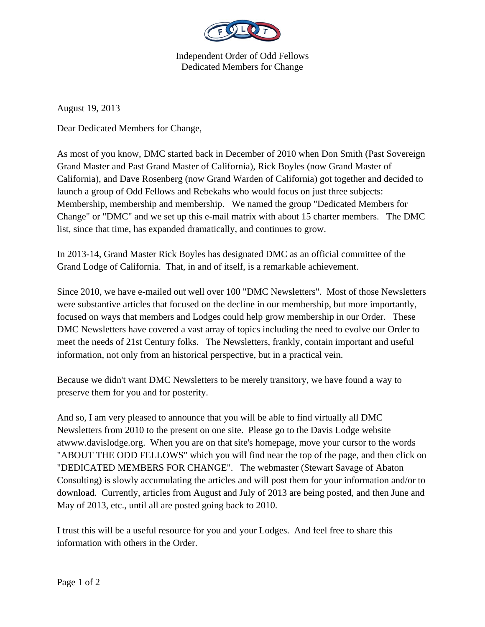

Independent Order of Odd Fellows Dedicated Members for Change

August 19, 2013

Dear Dedicated Members for Change,

As most of you know, DMC started back in December of 2010 when Don Smith (Past Sovereign Grand Master and Past Grand Master of California), Rick Boyles (now Grand Master of California), and Dave Rosenberg (now Grand Warden of California) got together and decided to launch a group of Odd Fellows and Rebekahs who would focus on just three subjects: Membership, membership and membership. We named the group "Dedicated Members for Change" or "DMC" and we set up this e-mail matrix with about 15 charter members. The DMC list, since that time, has expanded dramatically, and continues to grow.

In 2013-14, Grand Master Rick Boyles has designated DMC as an official committee of the Grand Lodge of California. That, in and of itself, is a remarkable achievement.

Since 2010, we have e-mailed out well over 100 "DMC Newsletters". Most of those Newsletters were substantive articles that focused on the decline in our membership, but more importantly, focused on ways that members and Lodges could help grow membership in our Order. These DMC Newsletters have covered a vast array of topics including the need to evolve our Order to meet the needs of 21st Century folks. The Newsletters, frankly, contain important and useful information, not only from an historical perspective, but in a practical vein.

Because we didn't want DMC Newsletters to be merely transitory, we have found a way to preserve them for you and for posterity.

And so, I am very pleased to announce that you will be able to find virtually all DMC Newsletters from 2010 to the present on one site. Please go to the Davis Lodge website atwww.davislodge.org. When you are on that site's homepage, move your cursor to the words "ABOUT THE ODD FELLOWS" which you will find near the top of the page, and then click on "DEDICATED MEMBERS FOR CHANGE". The webmaster (Stewart Savage of Abaton Consulting) is slowly accumulating the articles and will post them for your information and/or to download. Currently, articles from August and July of 2013 are being posted, and then June and May of 2013, etc., until all are posted going back to 2010.

I trust this will be a useful resource for you and your Lodges. And feel free to share this information with others in the Order.